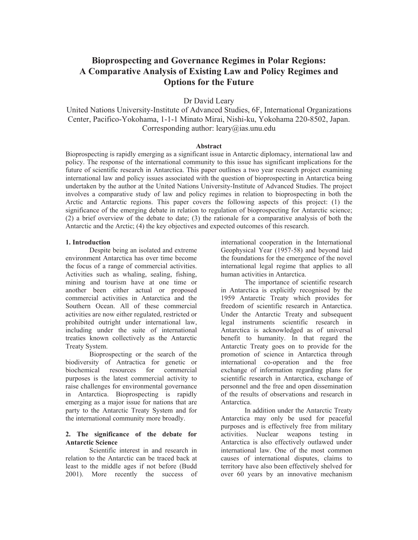# **Bioprospecting and Governance Regimes in Polar Regions: A Comparative Analysis of Existing Law and Policy Regimes and Options for the Future**

Dr David Leary

United Nations University-Institute of Advanced Studies, 6F, International Organizations Center, Pacifico-Yokohama, 1-1-1 Minato Mirai, Nishi-ku, Yokohama 220-8502, Japan. Corresponding author: leary@ias.unu.edu

## **Abstract**

Bioprospecting is rapidly emerging as a significant issue in Antarctic diplomacy, international law and policy. The response of the international community to this issue has significant implications for the future of scientific research in Antarctica. This paper outlines a two year research project examining international law and policy issues associated with the question of bioprospecting in Antarctica being undertaken by the author at the United Nations University-Institute of Advanced Studies. The project involves a comparative study of law and policy regimes in relation to bioprospecting in both the Arctic and Antarctic regions. This paper covers the following aspects of this project: (1) the significance of the emerging debate in relation to regulation of bioprospecting for Antarctic science; (2) a brief overview of the debate to date; (3) the rationale for a comparative analysis of both the Antarctic and the Arctic; (4) the key objectives and expected outcomes of this research.

#### **1. Introduction**

Despite being an isolated and extreme environment Antarctica has over time become the focus of a range of commercial activities. Activities such as whaling, sealing, fishing, mining and tourism have at one time or another been either actual or proposed commercial activities in Antarctica and the Southern Ocean. All of these commercial activities are now either regulated, restricted or prohibited outright under international law, including under the suite of international treaties known collectively as the Antarctic Treaty System.

Bioprospecting or the search of the biodiversity of Antractica for genetic or biochemical resources for commercial purposes is the latest commercial activity to raise challenges for environmental governance in Antarctica. Bioprospecting is rapidly emerging as a major issue for nations that are party to the Antarctic Treaty System and for the international community more broadly.

### **2. The significance of the debate for Antarctic Science**

Scientific interest in and research in relation to the Antarctic can be traced back at least to the middle ages if not before (Budd 2001). More recently the success of international cooperation in the International Geophysical Year (1957-58) and beyond laid the foundations for the emergence of the novel international legal regime that applies to all human activities in Antarctica.

The importance of scientific research in Antarctica is explicitly recognised by the 1959 Antarctic Treaty which provides for freedom of scientific research in Antarctica. Under the Antarctic Treaty and subsequent legal instruments scientific research in Antarctica is acknowledged as of universal benefit to humanity. In that regard the Antarctic Treaty goes on to provide for the promotion of science in Antarctica through international co-operation and the free exchange of information regarding plans for scientific research in Antarctica, exchange of personnel and the free and open dissemination of the results of observations and research in Antarctica.

 In addition under the Antarctic Treaty Antarctica may only be used for peaceful purposes and is effectively free from military activities. Nuclear weapons testing in Antarctica is also effectively outlawed under international law. One of the most common causes of international disputes, claims to territory have also been effectively shelved for over 60 years by an innovative mechanism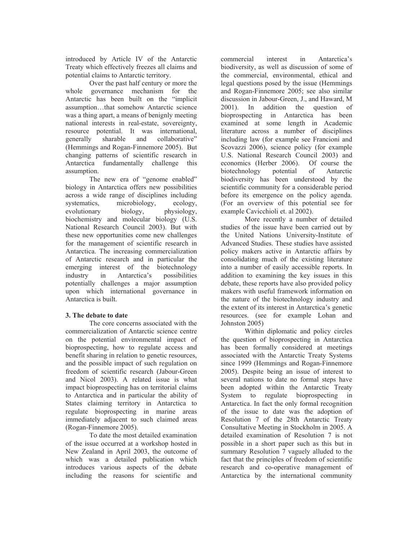introduced by Article IV of the Antarctic Treaty which effectively freezes all claims and potential claims to Antarctic territory.

Over the past half century or more the whole governance mechanism for the Antarctic has been built on the "implicit assumption…that somehow Antarctic science was a thing apart, a means of benignly meeting national interests in real-estate, sovereignty, resource potential. It was international, generally sharable and collaborative" (Hemmings and Rogan-Finnemore 2005). But changing patterns of scientific research in Antarctica fundamentally challenge this assumption.

The new era of "genome enabled" biology in Antarctica offers new possibilities across a wide range of disciplines including systematics, microbiology, ecology, evolutionary biology, physiology, biochemistry and molecular biology (U.S. National Research Council 2003). But with these new opportunities come new challenges for the management of scientific research in Antarctica. The increasing commercialization of Antarctic research and in particular the emerging interest of the biotechnology industry in Antarctica's possibilities potentially challenges a major assumption upon which international governance in Antarctica is built.

## **3. The debate to date**

The core concerns associated with the commercialization of Antarctic science centre on the potential environmental impact of bioprospecting, how to regulate access and benefit sharing in relation to genetic resources, and the possible impact of such regulation on freedom of scientific research (Jabour-Green and Nicol 2003). A related issue is what impact bioprospecting has on territorial claims to Antarctica and in particular the ability of States claiming territory in Antarctica to regulate bioprospecting in marine areas immediately adjacent to such claimed areas (Rogan-Finnemore 2005).

To date the most detailed examination of the issue occurred at a workshop hosted in New Zealand in April 2003, the outcome of which was a detailed publication which introduces various aspects of the debate including the reasons for scientific and

commercial interest in Antarctica's biodiversity, as well as discussion of some of the commercial, environmental, ethical and legal questions posed by the issue (Hemmings and Rogan-Finnemore 2005; see also similar discussion in Jabour-Green, J., and Haward, M 2001). In addition the question of bioprospecting in Antarctica has been examined at some length in Academic literature across a number of disciplines including law (for example see Francioni and Scovazzi 2006), science policy (for example U.S. National Research Council 2003) and economics (Herber 2006). Of course the biotechnology potential of Antarctic biodiversity has been understood by the scientific community for a considerable period before its emergence on the policy agenda. (For an overview of this potential see for example Cavicchioli et. al 2002).

 More recently a number of detailed studies of the issue have been carried out by the United Nations University-Institute of Advanced Studies. These studies have assisted policy makers active in Antarctic affairs by consolidating much of the existing literature into a number of easily accessible reports. In addition to examining the key issues in this debate, these reports have also provided policy makers with useful framework information on the nature of the biotechnology industry and the extent of its interest in Antarctica's genetic resources. (see for example Lohan and Johnston 2005)

 Within diplomatic and policy circles the question of bioprospecting in Antarctica has been formally considered at meetings associated with the Antarctic Treaty Systems since 1999 (Hemmings and Rogan-Finnemore 2005). Despite being an issue of interest to several nations to date no formal steps have been adopted within the Antarctic Treaty System to regulate bioprospecting in Antarctica. In fact the only formal recognition of the issue to date was the adoption of Resolution 7 of the 28th Antarctic Treaty Consultative Meeting in Stockholm in 2005. A detailed examination of Resolution 7 is not possible in a short paper such as this but in summary Resolution 7 vaguely alluded to the fact that the principles of freedom of scientific research and co-operative management of Antarctica by the international community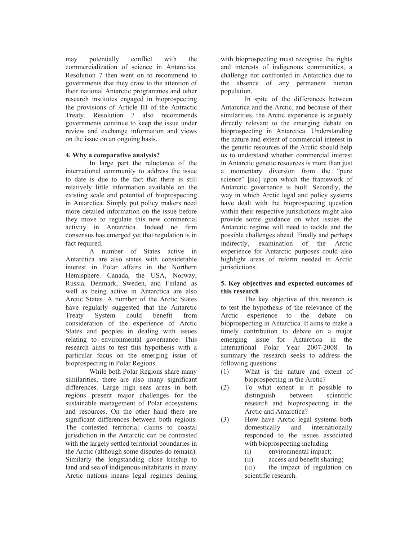may potentially conflict with the commercialization of science in Antarctica. Resolution 7 then went on to recommend to governments that they draw to the attention of their national Antarctic programmes and other research institutes engaged in bioprospecting the provisions of Article III of the Antractic Treaty. Resolution 7 also recommends governments continue to keep the issue under review and exchange information and views on the issue on an ongoing basis.

## **4. Why a comparative analysis?**

In large part the reluctance of the international community to address the issue to date is due to the fact that there is still relatively little information available on the existing scale and potential of bioprospecting in Antarctica. Simply put policy makers need more detailed information on the issue before they move to regulate this new commercial activity in Antarctica. Indeed no firm consensus has emerged yet that regulation is in fact required.

A number of States active in Antarctica are also states with considerable interest in Polar affairs in the Northern Hemisphere. Canada, the USA, Norway, Russia, Denmark, Sweden, and Finland as well as being active in Antarctica are also Arctic States. A number of the Arctic States have regularly suggested that the Antarctic Treaty System could benefit from consideration of the experience of Arctic States and peoples in dealing with issues relating to environmental governance. This research aims to test this hypothesis with a particular focus on the emerging issue of bioprospecting in Polar Regions.

While both Polar Regions share many similarities, there are also many significant differences. Large high seas areas in both regions present major challenges for the sustainable management of Polar ecosystems and resources. On the other hand there are significant differences between both regions. The contested territorial claims to coastal jurisdiction in the Antarctic can be contrasted with the largely settled territorial boundaries in the Arctic (although some disputes do remain). Similarly the longstanding close kinship to land and sea of indigenous inhabitants in many Arctic nations means legal regimes dealing

with bioprospecting must recognise the rights and interests of indigenous communities, a challenge not confronted in Antarctica due to the absence of any permanent human population.

In spite of the differences between Antarctica and the Arctic, and because of their similarities, the Arctic experience is arguably directly relevant to the emerging debate on bioprospecting in Antarctica. Understanding the nature and extent of commercial interest in the genetic resources of the Arctic should help us to understand whether commercial interest in Antarctic genetic resources is more than just a momentary diversion from the "pure science" [sic] upon which the framework of Antarctic governance is built. Secondly, the way in which Arctic legal and policy systems have dealt with the bioprospecting question within their respective jurisdictions might also provide some guidance on what issues the Antarctic regime will need to tackle and the possible challenges ahead. Finally and perhaps indirectly, examination of the Arctic experience for Antarctic purposes could also highlight areas of reform needed in Arctic jurisdictions.

### **5. Key objectives and expected outcomes of this research**

The key objective of this research is to test the hypothesis of the relevance of the Arctic experience to the debate on bioprospecting in Antarctica. It aims to make a timely contribution to debate on a major emerging issue for Antarctica in the International Polar Year 2007-2008. In summary the research seeks to address the following questions:

- (1) What is the nature and extent of bioprospecting in the Arctic?
- (2) To what extent is it possible to distinguish between scientific research and bioprospecting in the Arctic and Antarctica?
- (3) How have Arctic legal systems both domestically and internationally responded to the issues associated with bioprospecting including
	- (i) environmental impact;
	- (ii) access and benefit sharing;
	- (iii) the impact of regulation on scientific research.